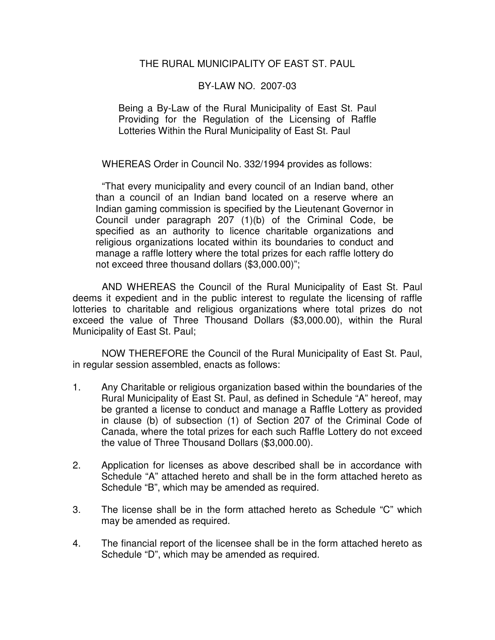#### THE RURAL MUNICIPALITY OF EAST ST. PAUL

#### BY-LAW NO. 2007-03

Being a By-Law of the Rural Municipality of East St. Paul Providing for the Regulation of the Licensing of Raffle Lotteries Within the Rural Municipality of East St. Paul

WHEREAS Order in Council No. 332/1994 provides as follows:

 "That every municipality and every council of an Indian band, other than a council of an Indian band located on a reserve where an Indian gaming commission is specified by the Lieutenant Governor in Council under paragraph 207 (1)(b) of the Criminal Code, be specified as an authority to licence charitable organizations and religious organizations located within its boundaries to conduct and manage a raffle lottery where the total prizes for each raffle lottery do not exceed three thousand dollars (\$3,000.00)";

 AND WHEREAS the Council of the Rural Municipality of East St. Paul deems it expedient and in the public interest to regulate the licensing of raffle lotteries to charitable and religious organizations where total prizes do not exceed the value of Three Thousand Dollars (\$3,000.00), within the Rural Municipality of East St. Paul;

 NOW THEREFORE the Council of the Rural Municipality of East St. Paul, in regular session assembled, enacts as follows:

- 1. Any Charitable or religious organization based within the boundaries of the Rural Municipality of East St. Paul, as defined in Schedule "A" hereof, may be granted a license to conduct and manage a Raffle Lottery as provided in clause (b) of subsection (1) of Section 207 of the Criminal Code of Canada, where the total prizes for each such Raffle Lottery do not exceed the value of Three Thousand Dollars (\$3,000.00).
- 2. Application for licenses as above described shall be in accordance with Schedule "A" attached hereto and shall be in the form attached hereto as Schedule "B", which may be amended as required.
- 3. The license shall be in the form attached hereto as Schedule "C" which may be amended as required.
- 4. The financial report of the licensee shall be in the form attached hereto as Schedule "D", which may be amended as required.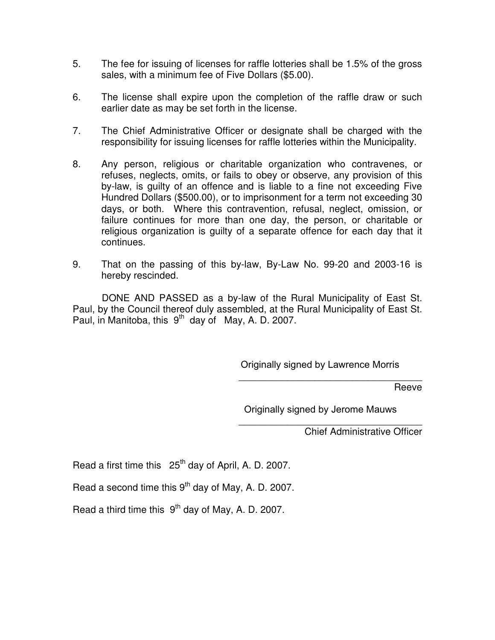- 5. The fee for issuing of licenses for raffle lotteries shall be 1.5% of the gross sales, with a minimum fee of Five Dollars (\$5.00).
- 6. The license shall expire upon the completion of the raffle draw or such earlier date as may be set forth in the license.
- 7. The Chief Administrative Officer or designate shall be charged with the responsibility for issuing licenses for raffle lotteries within the Municipality.
- 8. Any person, religious or charitable organization who contravenes, or refuses, neglects, omits, or fails to obey or observe, any provision of this by-law, is guilty of an offence and is liable to a fine not exceeding Five Hundred Dollars (\$500.00), or to imprisonment for a term not exceeding 30 days, or both. Where this contravention, refusal, neglect, omission, or failure continues for more than one day, the person, or charitable or religious organization is guilty of a separate offence for each day that it continues.
- 9. That on the passing of this by-law, By-Law No. 99-20 and 2003-16 is hereby rescinded.

 DONE AND PASSED as a by-law of the Rural Municipality of East St. Paul, by the Council thereof duly assembled, at the Rural Municipality of East St. Paul, in Manitoba, this  $9<sup>th</sup>$  day of May, A. D. 2007.

Originally signed by Lawrence Morris

\_\_\_\_\_\_\_\_\_\_\_\_\_\_\_\_\_\_\_\_\_\_\_\_\_\_\_\_\_\_\_\_\_\_

\_\_\_\_\_\_\_\_\_\_\_\_\_\_\_\_\_\_\_\_\_\_\_\_\_\_\_\_\_\_\_\_\_\_

Reeve

Originally signed by Jerome Mauws

Chief Administrative Officer

Read a first time this  $25<sup>th</sup>$  day of April, A. D. 2007.

Read a second time this  $9<sup>th</sup>$  day of May, A. D. 2007.

Read a third time this  $9<sup>th</sup>$  day of May, A. D. 2007.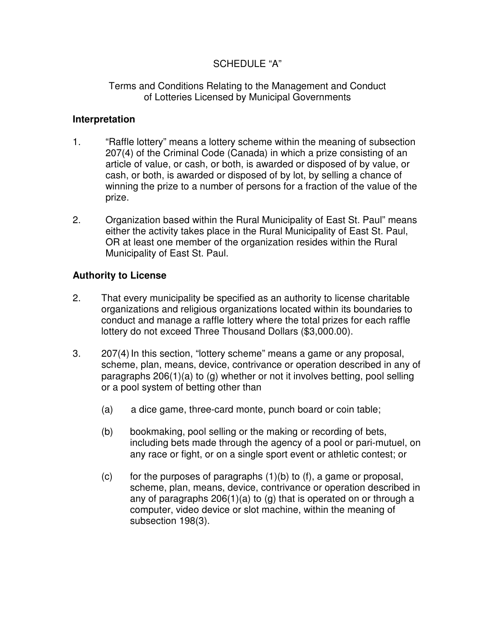## SCHEDULE "A"

#### Terms and Conditions Relating to the Management and Conduct of Lotteries Licensed by Municipal Governments

## **Interpretation**

- 1. "Raffle lottery" means a lottery scheme within the meaning of subsection 207(4) of the Criminal Code (Canada) in which a prize consisting of an article of value, or cash, or both, is awarded or disposed of by value, or cash, or both, is awarded or disposed of by lot, by selling a chance of winning the prize to a number of persons for a fraction of the value of the prize.
- 2. Organization based within the Rural Municipality of East St. Paul" means either the activity takes place in the Rural Municipality of East St. Paul, OR at least one member of the organization resides within the Rural Municipality of East St. Paul.

## **Authority to License**

- 2. That every municipality be specified as an authority to license charitable organizations and religious organizations located within its boundaries to conduct and manage a raffle lottery where the total prizes for each raffle lottery do not exceed Three Thousand Dollars (\$3,000.00).
- 3. 207(4) In this section, "lottery scheme" means a game or any proposal, scheme, plan, means, device, contrivance or operation described in any of paragraphs 206(1)(a) to (g) whether or not it involves betting, pool selling or a pool system of betting other than
	- (a) a dice game, three-card monte, punch board or coin table;
	- (b) bookmaking, pool selling or the making or recording of bets, including bets made through the agency of a pool or pari-mutuel, on any race or fight, or on a single sport event or athletic contest; or
	- (c) for the purposes of paragraphs  $(1)(b)$  to  $(f)$ , a game or proposal, scheme, plan, means, device, contrivance or operation described in any of paragraphs 206(1)(a) to (g) that is operated on or through a computer, video device or slot machine, within the meaning of subsection 198(3).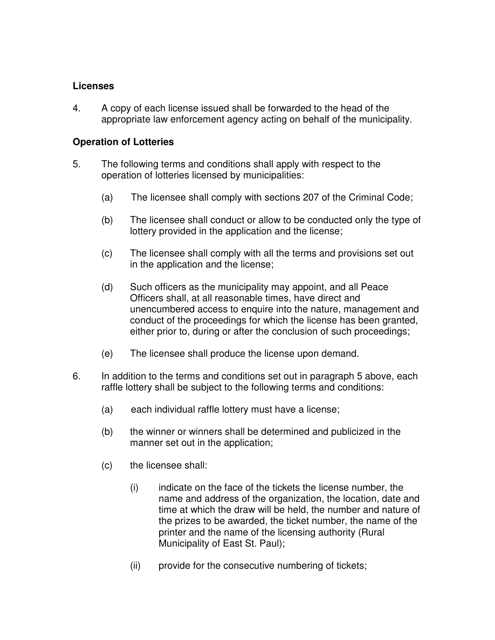#### **Licenses**

4. A copy of each license issued shall be forwarded to the head of the appropriate law enforcement agency acting on behalf of the municipality.

## **Operation of Lotteries**

- 5. The following terms and conditions shall apply with respect to the operation of lotteries licensed by municipalities:
	- (a) The licensee shall comply with sections 207 of the Criminal Code;
	- (b) The licensee shall conduct or allow to be conducted only the type of lottery provided in the application and the license;
	- (c) The licensee shall comply with all the terms and provisions set out in the application and the license;
	- (d) Such officers as the municipality may appoint, and all Peace Officers shall, at all reasonable times, have direct and unencumbered access to enquire into the nature, management and conduct of the proceedings for which the license has been granted, either prior to, during or after the conclusion of such proceedings;
	- (e) The licensee shall produce the license upon demand.
- 6. In addition to the terms and conditions set out in paragraph 5 above, each raffle lottery shall be subject to the following terms and conditions:
	- (a) each individual raffle lottery must have a license;
	- (b) the winner or winners shall be determined and publicized in the manner set out in the application;
	- (c) the licensee shall:
		- (i) indicate on the face of the tickets the license number, the name and address of the organization, the location, date and time at which the draw will be held, the number and nature of the prizes to be awarded, the ticket number, the name of the printer and the name of the licensing authority (Rural Municipality of East St. Paul);
		- (ii) provide for the consecutive numbering of tickets;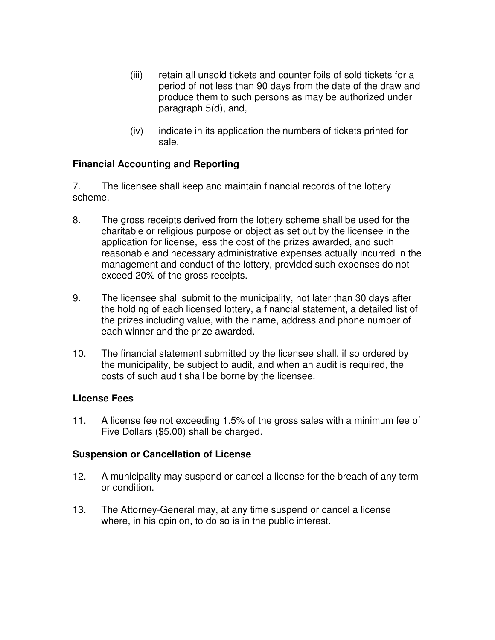- (iii) retain all unsold tickets and counter foils of sold tickets for a period of not less than 90 days from the date of the draw and produce them to such persons as may be authorized under paragraph 5(d), and,
- (iv) indicate in its application the numbers of tickets printed for sale.

## **Financial Accounting and Reporting**

7. The licensee shall keep and maintain financial records of the lottery scheme.

- 8. The gross receipts derived from the lottery scheme shall be used for the charitable or religious purpose or object as set out by the licensee in the application for license, less the cost of the prizes awarded, and such reasonable and necessary administrative expenses actually incurred in the management and conduct of the lottery, provided such expenses do not exceed 20% of the gross receipts.
- 9. The licensee shall submit to the municipality, not later than 30 days after the holding of each licensed lottery, a financial statement, a detailed list of the prizes including value, with the name, address and phone number of each winner and the prize awarded.
- 10. The financial statement submitted by the licensee shall, if so ordered by the municipality, be subject to audit, and when an audit is required, the costs of such audit shall be borne by the licensee.

#### **License Fees**

11. A license fee not exceeding 1.5% of the gross sales with a minimum fee of Five Dollars (\$5.00) shall be charged.

#### **Suspension or Cancellation of License**

- 12. A municipality may suspend or cancel a license for the breach of any term or condition.
- 13. The Attorney-General may, at any time suspend or cancel a license where, in his opinion, to do so is in the public interest.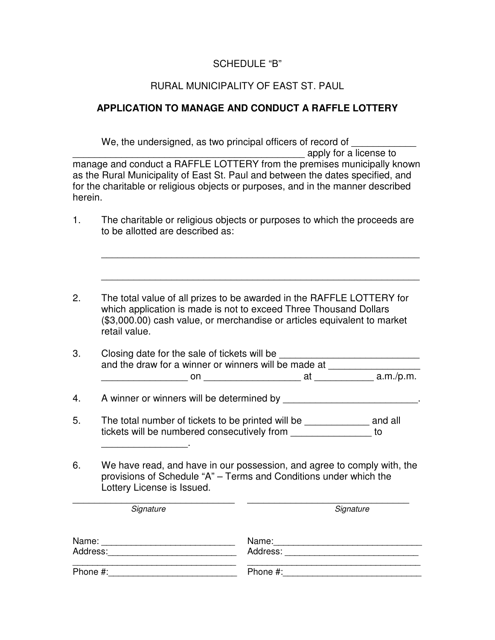## SCHEDULE "B"

#### RURAL MUNICIPALITY OF EAST ST. PAUL

#### **APPLICATION TO MANAGE AND CONDUCT A RAFFLE LOTTERY**

We, the undersigned, as two principal officers of record of \_\_\_\_\_\_\_\_\_\_\_\_\_\_\_\_\_\_\_\_ \_\_\_\_\_\_\_\_\_\_\_\_\_\_\_\_\_\_\_\_\_\_\_\_\_\_\_\_\_\_\_\_\_\_\_\_\_\_\_\_\_\_\_ apply for a license to manage and conduct a RAFFLE LOTTERY from the premises municipally known as the Rural Municipality of East St. Paul and between the dates specified, and for the charitable or religious objects or purposes, and in the manner described herein. 1. The charitable or religious objects or purposes to which the proceeds are to be allotted are described as: \_\_\_\_\_\_\_\_\_\_\_\_\_\_\_\_\_\_\_\_\_\_\_\_\_\_\_\_\_\_\_\_\_\_\_\_\_\_\_\_\_\_\_\_\_\_\_\_\_\_\_\_\_\_\_\_\_\_\_ \_\_\_\_\_\_\_\_\_\_\_\_\_\_\_\_\_\_\_\_\_\_\_\_\_\_\_\_\_\_\_\_\_\_\_\_\_\_\_\_\_\_\_\_\_\_\_\_\_\_\_\_\_\_\_\_\_\_\_ 2. The total value of all prizes to be awarded in the RAFFLE LOTTERY for which application is made is not to exceed Three Thousand Dollars (\$3,000.00) cash value, or merchandise or articles equivalent to market retail value. 3. Closing date for the sale of tickets will be and the draw for a winner or winners will be made at \_\_\_\_\_\_\_\_\_\_\_\_\_\_\_\_\_\_\_\_\_ \_\_\_\_\_\_\_\_\_\_\_\_\_\_\_\_ on \_\_\_\_\_\_\_\_\_\_\_\_\_\_\_\_\_\_ at \_\_\_\_\_\_\_\_\_\_\_ a.m./p.m. 4. A winner or winners will be determined by \_\_\_\_\_\_\_\_\_\_\_\_\_\_\_\_\_\_\_\_\_\_\_\_. 5. The total number of tickets to be printed will be \_\_\_\_\_\_\_\_\_\_\_\_\_\_ and all tickets will be numbered consecutively from  $10$ 

6. We have read, and have in our possession, and agree to comply with, the provisions of Schedule "A" – Terms and Conditions under which the Lottery License is Issued.

Signature Signature Signature

 $\overline{\phantom{a}}$  , where  $\overline{\phantom{a}}$  , where  $\overline{\phantom{a}}$  ,  $\overline{\phantom{a}}$  ,  $\overline{\phantom{a}}$  ,  $\overline{\phantom{a}}$  ,  $\overline{\phantom{a}}$  ,  $\overline{\phantom{a}}$  ,  $\overline{\phantom{a}}$  ,  $\overline{\phantom{a}}$  ,  $\overline{\phantom{a}}$  ,  $\overline{\phantom{a}}$  ,  $\overline{\phantom{a}}$  ,  $\overline{\phantom{a}}$  ,  $\overline{\phantom{a}}$  ,

\_\_\_\_\_\_\_\_\_\_\_\_\_\_\_\_\_\_\_\_\_\_\_\_\_\_\_\_\_\_ \_\_\_\_\_\_\_\_\_\_\_\_\_\_\_\_\_\_\_\_\_\_\_\_\_\_\_\_\_\_

| Name:    | Name:    |
|----------|----------|
| Address: | Address: |
| Phone #: | Phone #: |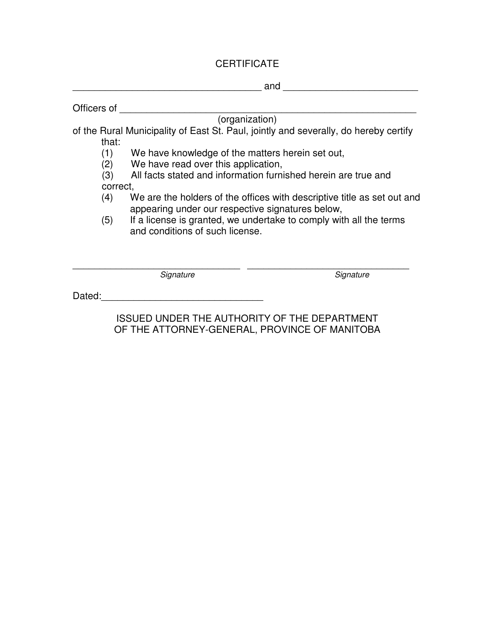# **CERTIFICATE**

|             |                                                                                                                             | and                                                                                  |  |
|-------------|-----------------------------------------------------------------------------------------------------------------------------|--------------------------------------------------------------------------------------|--|
| Officers of |                                                                                                                             |                                                                                      |  |
|             |                                                                                                                             | (organization)                                                                       |  |
|             |                                                                                                                             | of the Rural Municipality of East St. Paul, jointly and severally, do hereby certify |  |
| that:       |                                                                                                                             |                                                                                      |  |
| (1)         | We have knowledge of the matters herein set out,                                                                            |                                                                                      |  |
| (2)         | We have read over this application,                                                                                         |                                                                                      |  |
| (3)         | All facts stated and information furnished herein are true and                                                              |                                                                                      |  |
| correct,    |                                                                                                                             |                                                                                      |  |
| (4)         | We are the holders of the offices with descriptive title as set out and<br>appearing under our respective signatures below, |                                                                                      |  |
| (5)         | If a license is granted, we undertake to comply with all the terms<br>and conditions of such license.                       |                                                                                      |  |
|             |                                                                                                                             |                                                                                      |  |
|             | Signature                                                                                                                   | Signature                                                                            |  |
| Dated:      |                                                                                                                             |                                                                                      |  |

ISSUED UNDER THE AUTHORITY OF THE DEPARTMENT OF THE ATTORNEY-GENERAL, PROVINCE OF MANITOBA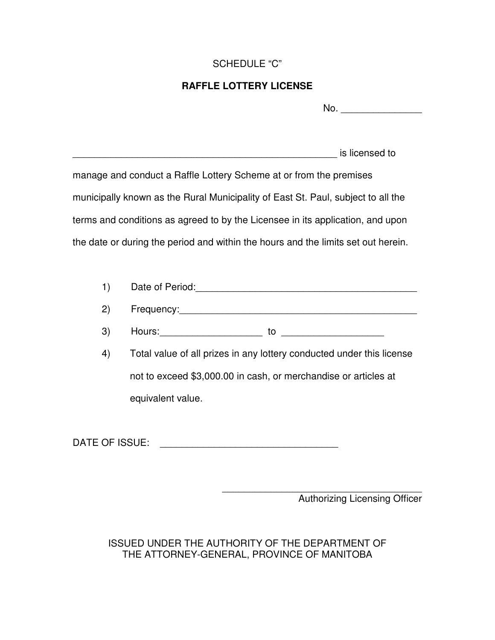## SCHEDULE "C"

## **RAFFLE LOTTERY LICENSE**

| No. |  |
|-----|--|
|     |  |

| is licensed to                                                                    |
|-----------------------------------------------------------------------------------|
| manage and conduct a Raffle Lottery Scheme at or from the premises                |
| municipally known as the Rural Municipality of East St. Paul, subject to all the  |
| terms and conditions as agreed to by the Licensee in its application, and upon    |
| the date or during the period and within the hours and the limits set out herein. |

| Date of Period: |
|-----------------|
|                 |

| - | auency:<br>-roc<br>.<br>$\overline{\phantom{a}}$ |
|---|--------------------------------------------------|
|---|--------------------------------------------------|

 $\mathsf{3)}$  Hours:  $\qquad \qquad \qquad$  to  $\qquad \qquad$ 

| 4). | Total value of all prizes in any lottery conducted under this license |
|-----|-----------------------------------------------------------------------|
|     | not to exceed \$3,000.00 in cash, or merchandise or articles at       |
|     | equivalent value.                                                     |

DATE OF ISSUE: \_\_\_\_\_\_\_\_\_\_\_\_\_\_\_\_\_\_\_\_\_\_\_\_\_\_\_\_\_\_\_\_\_

\_\_\_\_\_\_\_\_\_\_\_\_\_\_\_\_\_\_\_\_\_\_\_\_\_\_\_\_\_\_\_\_\_\_\_\_\_ Authorizing Licensing Officer

ISSUED UNDER THE AUTHORITY OF THE DEPARTMENT OF THE ATTORNEY-GENERAL, PROVINCE OF MANITOBA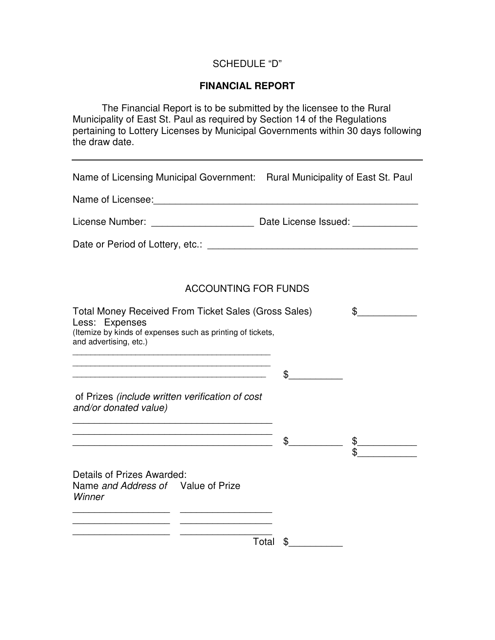## SCHEDULE "D"

#### **FINANCIAL REPORT**

 The Financial Report is to be submitted by the licensee to the Rural Municipality of East St. Paul as required by Section 14 of the Regulations pertaining to Lottery Licenses by Municipal Governments within 30 days following the draw date.

| Name of Licensing Municipal Government: Rural Municipality of East St. Paul                                                                                    |               |    |
|----------------------------------------------------------------------------------------------------------------------------------------------------------------|---------------|----|
|                                                                                                                                                                |               |    |
|                                                                                                                                                                |               |    |
|                                                                                                                                                                |               |    |
| <b>ACCOUNTING FOR FUNDS</b>                                                                                                                                    |               |    |
| Total Money Received From Ticket Sales (Gross Sales)<br>Less: Expenses<br>(Itemize by kinds of expenses such as printing of tickets,<br>and advertising, etc.) |               | \$ |
|                                                                                                                                                                | \$            |    |
| of Prizes (include written verification of cost<br>and/or donated value)                                                                                       |               |    |
| <u> 1989 - Jan James James Barnett, amerikan bahasa (j. 1989)</u>                                                                                              | $\frac{1}{2}$ |    |
| Details of Prizes Awarded:<br>Name and Address of Value of Prize<br>Winner                                                                                     |               |    |
| Total                                                                                                                                                          | \$            |    |